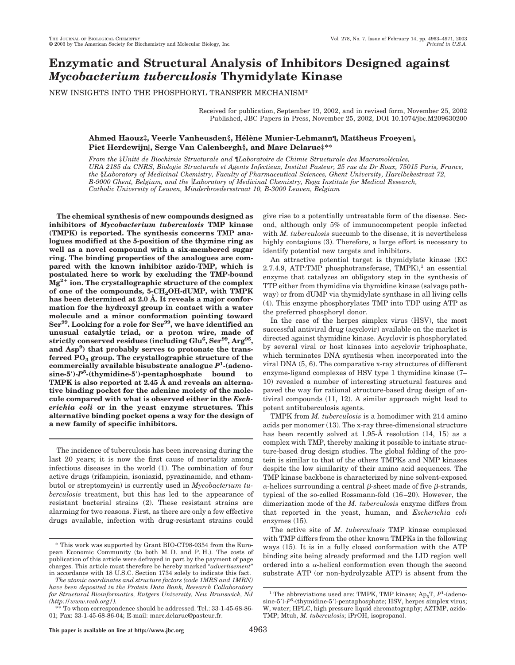# **Enzymatic and Structural Analysis of Inhibitors Designed against** *Mycobacterium tuberculosis* **Thymidylate Kinase**

NEW INSIGHTS INTO THE PHOSPHORYL TRANSFER MECHANISM\*

Received for publication, September 19, 2002, and in revised form, November 25, 2002 Published, JBC Papers in Press, November 25, 2002, DOI 10.1074/jbc.M209630200

# **Ahmed Haouz‡, Veerle Vanheusden§, He´le`ne Munier-Lehmann¶, Mattheus Froeyen, Piet Herdewijn, Serge Van Calenbergh§, and Marc Delarue‡\*\***

*From the* ‡*Unite´ de Biochimie Structurale and* ¶*Laboratoire de Chimie Structurale des Macromole´cules, URA 2185 du CNRS, Biologie Structurale et Agents Infectieux, Institut Pasteur, 25 rue du Dr Roux, 75015 Paris, France, the* §*Laboratory of Medicinal Chemistry, Faculty of Pharmaceutical Sciences, Ghent University, Harelbekestraat 72, B-9000 Ghent, Belgium, and the Laboratory of Medicinal Chemistry, Rega Institute for Medical Research, Catholic University of Leuven, Minderbroedersstraat 10, B-3000 Leuven, Belgium*

**The chemical synthesis of new compounds designed as inhibitors of** *Mycobacterium tuberculosis* **TMP kinase (TMPK) is reported. The synthesis concerns TMP analogues modified at the 5-position of the thymine ring as well as a novel compound with a six-membered sugar ring. The binding properties of the analogues are compared with the known inhibitor azido-TMP, which is postulated here to work by excluding the TMP-bound Mg2 ion. The crystallographic structure of the complex** of one of the compounds, 5-CH<sub>2</sub>OH-dUMP, with TMPK **has been determined at 2.0 Å. It reveals a major conformation for the hydroxyl group in contact with a water molecule and a minor conformation pointing toward** Ser<sup>99</sup>. Looking for a role for Ser<sup>99</sup>, we have identified an **unusual catalytic triad, or a proton wire, made of strictly conserved residues (including Glu6 , Ser99, Arg95, and Asp9 ) that probably serves to protonate the trans**ferred PO<sub>3</sub> group. The crystallographic structure of the **commercially available bisubstrate analogue** *P***<sup>1</sup> -(adenosine-5)-***P***<sup>5</sup> -(thymidine-5)-pentaphosphate bound to TMPK is also reported at 2.45 Å and reveals an alternative binding pocket for the adenine moiety of the molecule compared with what is observed either in the** *Escherichia coli* **or in the yeast enzyme structures. This alternative binding pocket opens a way for the design of a new family of specific inhibitors.**

The incidence of tuberculosis has been increasing during the last 20 years; it is now the first cause of mortality among infectious diseases in the world (1). The combination of four active drugs (rifampicin, isoniazid, pyrazinamide, and ethambutol or streptomycin) is currently used in *Mycobacterium tuberculosis* treatment, but this has led to the appearance of resistant bacterial strains (2). These resistant strains are alarming for two reasons. First, as there are only a few effective drugs available, infection with drug-resistant strains could give rise to a potentially untreatable form of the disease. Second, although only 5% of immunocompetent people infected with *M. tuberculosis* succumb to the disease, it is nevertheless highly contagious (3). Therefore, a large effort is necessary to identify potential new targets and inhibitors.

An attractive potential target is thymidylate kinase (EC 2.7.4.9, ATP:TMP phosphotransferase,  $TMPK$ <sup>1</sup> an essential enzyme that catalyzes an obligatory step in the synthesis of TTP either from thymidine via thymidine kinase (salvage pathway) or from dUMP via thymidylate synthase in all living cells (4). This enzyme phosphorylates TMP into TDP using ATP as the preferred phosphoryl donor.

In the case of the herpes simplex virus (HSV), the most successful antiviral drug (acyclovir) available on the market is directed against thymidine kinase. Acyclovir is phosphorylated by several viral or host kinases into acyclovir triphosphate, which terminates DNA synthesis when incorporated into the viral DNA (5, 6). The comparative x-ray structures of different enzyme-ligand complexes of HSV type 1 thymidine kinase (7– 10) revealed a number of interesting structural features and paved the way for rational structure-based drug design of antiviral compounds (11, 12). A similar approach might lead to potent antituberculosis agents.

TMPK from *M. tuberculosis* is a homodimer with 214 amino acids per monomer (13). The x-ray three-dimensional structure has been recently solved at 1.95-Å resolution (14, 15) as a complex with TMP, thereby making it possible to initiate structure-based drug design studies. The global folding of the protein is similar to that of the others TMPKs and NMP kinases despite the low similarity of their amino acid sequences. The TMP kinase backbone is characterized by nine solvent-exposed  $\alpha$ -helices surrounding a central  $\beta$ -sheet made of five  $\beta$ -strands, typical of the so-called Rossmann-fold (16–20). However, the dimerization mode of the *M. tuberculosis* enzyme differs from that reported in the yeast, human, and *Escherichia coli* enzymes (15).

The active site of *M. tuberculosis* TMP kinase complexed with TMP differs from the other known TMPKs in the following ways (15). It is in a fully closed conformation with the ATP binding site being already preformed and the LID region well ordered into a  $\alpha$ -helical conformation even though the second substrate ATP (or non-hydrolyzable ATP) is absent from the

<sup>\*</sup> This work was supported by Grant BIO-CT98-0354 from the European Economic Community (to both M. D. and P. H.). The costs of publication of this article were defrayed in part by the payment of page charges. This article must therefore be hereby marked "*advertisement*" in accordance with 18 U.S.C. Section 1734 solely to indicate this fact.

*The atomic coordinates and structure factors (code 1MRS and 1MRN) have been deposited in the Protein Data Bank, Research Collaboratory for Structural Bioinformatics, Rutgers University, New Brunswick, NJ (http://www.rcsb.org/).*

<sup>\*\*</sup> To whom correspondence should be addressed. Tel.: 33-1-45-68-86- 01; Fax: 33-1-45-68-86-04; E-mail: marc.delarue@pasteur.fr.

<sup>&</sup>lt;sup>1</sup> The abbreviations used are: TMPK, TMP kinase; Ap<sub>5</sub>T, P<sup>1</sup>-(adenosine-5')- $P^5$ -(thymidine-5')-pentaphosphate; HSV, herpes simplex virus; W, water; HPLC, high pressure liquid chromatography; AZTMP, azido-TMP; Mtub, *M. tuberculosis*; iPrOH, isopropanol.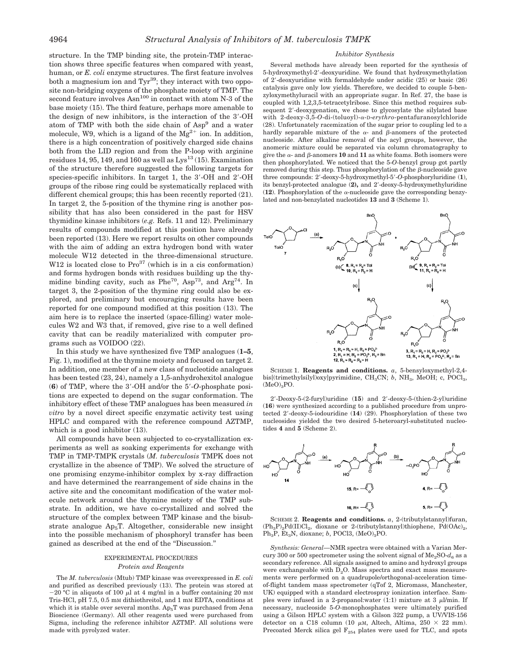structure. In the TMP binding site, the protein-TMP interaction shows three specific features when compared with yeast, human, or *E. coli* enzyme structures. The first feature involves both a magnesium ion and Tyr<sup>39</sup>; they interact with two opposite non-bridging oxygens of the phosphate moiety of TMP. The second feature involves  $\text{Asn}^{100}$  in contact with atom N-3 of the base moiety (15). The third feature, perhaps more amenable to the design of new inhibitors, is the interaction of the 3-OH atom of TMP with both the side chain of Asp<sup>9</sup> and a water molecule, W9, which is a ligand of the  $Mg^{2+}$  ion. In addition, there is a high concentration of positively charged side chains both from the LID region and from the P-loop with arginine residues 14, 95, 149, and 160 as well as  $Lys^{13}(15)$ . Examination of the structure therefore suggested the following targets for species-specific inhibitors. In target 1, the 3-OH and 2-OH groups of the ribose ring could be systematically replaced with different chemical groups; this has been recently reported (21). In target 2, the 5-position of the thymine ring is another possibility that has also been considered in the past for HSV thymidine kinase inhibitors (*e.g.* Refs. 11 and 12). Preliminary results of compounds modified at this position have already been reported (13). Here we report results on other compounds with the aim of adding an extra hydrogen bond with water molecule W12 detected in the three-dimensional structure. W12 is located close to  $Pro<sup>37</sup>$  (which is in a cis conformation) and forms hydrogen bonds with residues building up the thymidine binding cavity, such as  $Phe^{70}$ , Asp<sup>73</sup>, and Arg<sup>74</sup>. In target 3, the 2-position of the thymine ring could also be explored, and preliminary but encouraging results have been reported for one compound modified at this position (13). The aim here is to replace the inserted (space-filling) water molecules W2 and W3 that, if removed, give rise to a well defined cavity that can be readily materialized with computer programs such as VOIDOO (22).

In this study we have synthesized five TMP analogues (**1–5**, Fig. 1), modified at the thymine moiety and focused on target 2. In addition, one member of a new class of nucleotide analogues has been tested (23, 24), namely a 1,5-anhydrohexitol analogue (**6**) of TMP, where the 3-OH and/or the 5-*O*-phosphate positions are expected to depend on the sugar conformation. The inhibitory effect of these TMP analogues has been measured *in vitro* by a novel direct specific enzymatic activity test using HPLC and compared with the reference compound AZTMP, which is a good inhibitor  $(13)$ .

All compounds have been subjected to co-crystallization experiments as well as soaking experiments for exchange with TMP in TMP-TMPK crystals (*M. tuberculosis* TMPK does not crystallize in the absence of TMP). We solved the structure of one promising enzyme-inhibitor complex by x-ray diffraction and have determined the rearrangement of side chains in the active site and the concomitant modification of the water molecule network around the thymine moiety of the TMP substrate. In addition, we have co-crystallized and solved the structure of the complex between TMP kinase and the bisubstrate analogue  $Ap<sub>5</sub>T$ . Altogether, considerable new insight into the possible mechanism of phosphoryl transfer has been gained as described at the end of the ''Discussion.''

# EXPERIMENTAL PROCEDURES *Protein and Reagents*

The *M. tuberculosis* (Mtub) TMP kinase was overexpressed in *E. coli* and purified as described previously (13). The protein was stored at  $-20$  °C in aliquots of 100  $\mu$ l at 4 mg/ml in a buffer containing 20 mm Tris-HCl, pH 7.5, 0.5 mM dithiothreitol, and 1 mM EDTA, conditions at which it is stable over several months.  $Ap_5T$  was purchased from Jena Bioscience (Germany). All other reagents used were purchased from Sigma, including the reference inhibitor AZTMP. All solutions were made with pyrolyzed water.

#### *Inhibitor Synthesis*

Several methods have already been reported for the synthesis of 5-hydroxymethyl-2-deoxyuridine. We found that hydroxymethylation of 2-deoxyuridine with formaldehyde under acidic (25) or basic (26) catalysis gave only low yields. Therefore, we decided to couple 5-benzyloxymethyluracil with an appropriate sugar. In Ref. 27, the base is coupled with 1,2,3,5-tetracetylribose. Since this method requires subsequent 2'-deoxygenation, we chose to glycosylate the silylated base with 2-deoxy-3,5-*O*-di-(toluoyl)-α-D-erythro-pentafuranosylchloride (28). Unfortunately racemization of the sugar prior to coupling led to a hardly separable mixture of the  $\alpha$ - and  $\beta$ -anomers of the protected nucleoside. After alkaline removal of the acyl groups, however, the anomeric mixture could be separated via column chromatography to give the  $\alpha$ - and  $\beta$ -anomers 10 and 11 as white foams. Both isomers were then phosphorylated. We noticed that the 5-*O*-benzyl group got partly removed during this step. Thus phosphorylation of the  $\beta$ -nucleoside gave three compounds: 2-deoxy-5-hydroxymethyl-5-*O*-phosphoryluridine (**1**), its benzyl-protected analogue (**2),** and 2-deoxy-5-hydroxymethyluridine (12). Phosphorylation of the  $\alpha$ -nucleoside gave the corresponding benzylated and non-benzylated nucleotides **13** and **3** (Scheme 1).



SCHEME 1. **Reagents and conditions.** *a*, 5-bensyloxymethyl-2,4 bis[(trimethylsilyl)oxy]pyrimidine, CH<sub>3</sub>CN; *b*, NH<sub>3</sub>, MeOH; c, POCl<sub>3</sub>,  $(MeO)<sub>3</sub>PO.$ 

2-Deoxy-5-(2-furyl)uridine (**15**) and 2-deoxy-5-(thien-2-yl)uridine (**16**) were synthesized according to a published procedure from unprotected 2-deoxy-5-iodouridine (**14**) (29). Phosphorylation of these two nucleosides yielded the two desired 5-heteroaryl-substituted nucleotides **4** and **5** (Scheme 2).



SCHEME 2. **Reagents and conditions.** *a*, 2-(tributylstannyl)furan,  $(Ph_3P)_2Pd(II)Cl_2$ , dioxane or 2-(tributylstannyl)thiophene,  $Pd(OAc)_2$ , Ph<sub>3</sub>P, Et<sub>3</sub>N, dioxane; *b*, POCl3, (MeO)<sub>3</sub>PO.

*Synthesis: General—*NMR spectra were obtained with a Varian Mercury 300 or 500 spectrometer using the solvent signal of  $Me<sub>2</sub>SO-d<sub>6</sub>$  as a secondary reference. All signals assigned to amino and hydroxyl groups were exchangeable with  $D_2O$ . Mass spectra and exact mass measurements were performed on a quadrupole/orthogonal-acceleration timeof-flight tandem mass spectrometer (qTof 2, Micromass, Manchester, UK) equipped with a standard electrospray ionization interface. Samples were infused in a 2-propanol:water (1:1) mixture at 3  $\mu$ l/min. If necessary, nucleoside 5-*O*-monophosphates were ultimately purified using a Gilson HPLC system with a Gilson 322 pump, a UV/VIS-156 detector on a C18 column (10  $\mu$ M, Altech, Altima, 250  $\times$  22 mm). Precoated Merck silica gel  $F_{254}$  plates were used for TLC, and spots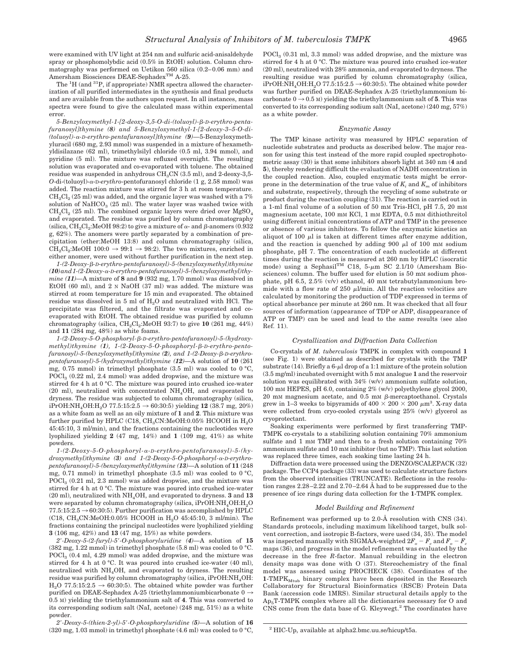were examined with UV light at 254 nm and sulfuric acid-anisaldehyde spray or phosphomolybdic acid (0.5% in EtOH) solution. Column chromatography was performed on Uetikon 560 silica (0.2–0.06 mm) and Amersham Biosciences DEAE-Sephadex<sup>™</sup> A-25.

The <sup>1</sup>H (and <sup>31</sup>P, if appropriate) NMR spectra allowed the characterization of all purified intermediates in the synthesis and final products and are available from the authors upon request. In all instances, mass spectra were found to give the calculated mass within experimental error.

*5-Benzyloxymethyl-1-[2-deoxy-3,5-O-di-(toluoyl)-*-*-D-erythro-pentafuranosyl]thymine (8) and 5-Benzyloxymethyl-1-[2-deoxy-3–5-O-di- (toluoyl)--D-erythro-pentafuranosyl]thymine (9)—*5-Benzyloxymethyluracil (680 mg, 2.93 mmol) was suspended in a mixture of hexamethyldisilazane (62 ml), trimethylsilyl chloride (0.5 ml, 3.94 mmol), and pyridine (5 ml). The mixture was refluxed overnight. The resulting solution was evaporated and co-evaporated with toluene. The obtained residue was suspended in anhydrous  $CH<sub>3</sub>CN$  (3.5 ml), and 2-deoxy-3,5-*O*-di-(toluoyl)-α-D-erythro-pentofuranosyl chloride (1 g, 2.58 mmol) was added. The reaction mixture was stirred for 3 h at room temperature.  $CH<sub>2</sub>Cl<sub>2</sub> (25 ml) was added, and the organic layer was washed with a 7%$ solution of  $\text{NaHCO}_3$  (25 ml). The water layer was washed twice with  $CH<sub>2</sub>Cl<sub>2</sub>$  (25 ml). The combined organic layers were dried over  $MgSO<sub>4</sub>$ and evaporated. The residue was purified by column chromatography (silica,  $\text{CH}_2\text{Cl}_2$ :MeOH 98:2) to give a mixture of α- and β-anomers (0.932 g, 62%). The anomers were partly separated by a combination of precipitation (ether:MeOH 13:8) and column chromatography (silica,  $CH_2Cl_2$ :MeOH 100:0  $\rightarrow$  99:1  $\rightarrow$  98:2). The two mixtures, enriched in either anomer, were used without further purification in the next step.

*1-(2-Deoxy-*-*-D-erythro-pentofuranosyl)-5-(benzyloxymethyl)thymine (10)and1-(2-Deoxy--D-erythro-pentofuranosyl)-5-(benzyloxymethyl)thymine (11)—*A mixture of **8** and **9** (932 mg, 1.70 mmol) was dissolved in EtOH (60 ml), and 2 N NaOH (37 ml) was added. The mixture was stirred at room temperature for 15 min and evaporated. The obtained residue was dissolved in 5 ml of  $H<sub>2</sub>O$  and neutralized with HCl. The precipitate was filtered, and the filtrate was evaporated and coevaporated with EtOH. The obtained residue was purified by column chromatography (silica,  $CH_2Cl_2$ :MeOH 93:7) to give **10** (261 mg, 44%) and **11** (284 mg, 48%) as white foams.

*1-(2-Deoxy-5-O-phosphoryl-*-*-D-erythro-pentofuranosyl)-5-(hydroxy*methyl)thymine (1), 1-(2-Deoxy-5-O-phosphoryl-β-D-erythro-pento*furanosyl)-5-(benzyloxymethyl)thymine (2), and 1-(2-Deoxy-*-*-D-erythropentofuranosyl)-5-(hydroxymethyl)thymine (12)—*A solution of **10** (261 mg, 0.75 mmol) in trimethyl phosphate (3.5 ml) was cooled to  $0^{\circ}$ C, POCl<sub>2</sub> (0.22 ml, 2.4 mmol) was added dropwise, and the mixture was stirred for 4 h at 0 °C. The mixture was poured into crushed ice-water (20 ml), neutralized with concentrated NH4OH, and evaporated to dryness. The residue was subjected to column chromatography (silica, iPrOH:NH<sub>4</sub>OH:H<sub>2</sub>O 77.5:15:2.5  $\rightarrow$  60:30:5) yielding **12** (38.7 mg, 20%) as a white foam as well as an oily mixture of **1** and **2**. This mixture was further purified by HPLC (C18,  $CH<sub>3</sub>CN:MeOH:0.05%$  HCOOH in  $H<sub>2</sub>O$ 45:45:10, 3 ml/min), and the fractions containing the nucleotides were lyophilized yielding **2** (47 mg, 14%) and **1** (109 mg, 41%) as white powders.

*1-(2-Deoxy-5-O-phosphoryl--D-erythro-pentofuranosyl)-5-(hydroxymethyl)thymine (3) and 1-(2-Deoxy-5-O-phosphoryl--D-erythropentofuranosyl)-5-(benzyloxymethyl)thymine (13)—*A solution of **11** (248 mg, 0.71 mmol) in trimethyl phosphate (3.5 ml) was cooled to  $0^{\circ}$ C, POCl<sub>2</sub> (0.21 ml, 2.3 mmol) was added dropwise, and the mixture was stirred for 4 h at 0 °C. The mixture was poured into crushed ice-water (20 ml), neutralized with NH4OH, and evaporated to dryness. **3** and **13** were separated by column chromatography (silica, iPrOH:NH<sub>4</sub>OH:H<sub>2</sub>O  $77.5:15:2.5 \rightarrow 60:30:5$ . Further purification was accomplished by HPLC (C18, CH<sub>3</sub>CN:MeOH:0.05% HCOOH in H<sub>2</sub>O 45:45:10, 3 ml/min). The fractions containing the principal nucleotides were lyophilized yielding **3** (106 mg, 42%) and **13** (47 mg, 15%) as white powders.

*2-Deoxy-5-(2-furyl)-5-O-phosphoryluridine (4)—*A solution of **15** (382 mg, 1.22 mmol) in trimethyl phosphate (5.8 ml) was cooled to 0 °C. POCl<sub>2</sub> (0.4 ml, 4.29 mmol) was added dropwise, and the mixture was stirred for 4 h at 0 °C. It was poured into crushed ice-water (40 ml), neutralized with  $NH<sub>4</sub>OH$ , and evaporated to dryness. The resulting residue was purified by column chromatography (silica, iPrOH:NH<sub>4</sub>OH:  $H<sub>2</sub>O$  77.5:15:2.5  $\rightarrow$  60:30:5). The obtained white powder was further purified on DEAE-Sephadex A-25 (triethylammoniumbicarbonate  $0 \rightarrow$ 0.5 M) yielding the triethylammonium salt of **4**. This was converted to its corresponding sodium salt (NaI, acetone) (248 mg, 51%) as a white powder.

*2-Deoxy-5-(thien-2-yl)-5-O-phosphoryluridine (5)—*A solution of **16**  $(320 \text{ mg}, 1.03 \text{ mmol})$  in trimethyl phosphate  $(4.6 \text{ ml})$  was cooled to  $0^{\circ}$ C,  $POCl<sub>3</sub>$  (0.31 ml, 3.3 mmol) was added dropwise, and the mixture was stirred for 4 h at 0 °C. The mixture was poured into crushed ice-water (20 ml), neutralized with 28% ammonia, and evaporated to dryness. The resulting residue was purified by column chromatography (silica, iPrOH:NH<sub>4</sub>OH:H<sub>2</sub>O 77.5:15:2.5  $\rightarrow$  60:30:5). The obtained white powder was further purified on DEAE-Sephadex A-25 (triethylammonium bicarbonate  $0 \rightarrow 0.5$  M) yielding the triethylammonium salt of 5. This was converted to its corresponding sodium salt (NaI, acetone) (240 mg, 57%) as a white powder.

#### *Enzymatic Assay*

The TMP kinase activity was measured by HPLC separation of nucleotide substrates and products as described below. The major reason for using this test instead of the more rapid coupled spectrophotometric assay (30) is that some inhibitors absorb light at 340 nm (**4** and **5**), thereby rendering difficult the evaluation of NADH concentration in the coupled reaction. Also, coupled enzymatic tests might be errorprone in the determination of the true value of  $K_i$  and  $K_m$  of inhibitors and substrate, respectively, through the recycling of some substrate or product during the reaction coupling (31). The reaction is carried out in a 1-ml final volume of a solution of 50 mM Tris-HCl, pH 7.5, 20 mM magnesium acetate, 100 mM KCl, 1 mM EDTA, 0.5 mM dithiothreitol using different initial concentrations of ATP and TMP in the presence or absence of various inhibitors. To follow the enzymatic kinetics an aliquot of 100  $\mu$ l is taken at different times after enzyme addition, and the reaction is quenched by adding 900  $\mu$ l of 100 mM sodium phosphate, pH 7. The concentration of each nucleotide at different times during the reaction is measured at 260 nm by HPLC (isocratic mode) using a Sephasil<sup>TM</sup> C18, 5- $\mu$ m SC 2.1/10 (Amersham Biosciences) column. The buffer used for elution is 50 mM sodium phosphate, pH 6.5,  $2.5\%$  (v/v) ethanol, 40 mM tetrabutylammonium bromide with a flow rate of 250  $\mu$ l/min. All the reaction velocities are calculated by monitoring the production of TDP expressed in terms of optical absorbance per minute at 260 nm. It was checked that all four sources of information (appearance of TDP or ADP, disappearance of ATP or TMP) can be used and lead to the same results (see also Ref. 11).

## *Crystallization and Diffraction Data Collection*

Co-crystals of *M. tuberculosis* TMPK in complex with compound **1** (see Fig. 1) were obtained as described for crystals with the TMP substrate (14). Briefly a 6- $\mu$ l drop of a 1:1 mixture of the protein solution (3.5 mg/ml) incubated overnight with 5 mM analogue **1** and the reservoir solution was equilibrated with 34% (w/v) ammonium sulfate solution, 100 mM HEPES, pH 6.0, containing 2% (w/v) polyethylene glycol 2000, 20 mm magnesium acetate, and  $0.5$  mm  $\beta$ -mercaptoethanol. Crystals grew in 1–3 weeks to bipyramids of  $400 \times 200 \times 200 \ \mu m^3$ . X-ray data were collected from cryo-cooled crystals using 25% (w/v) glycerol as cryoprotectant.

Soaking experiments were performed by first transferring TMP-TMPK co-crystals to a stabilizing solution containing 70% ammonium sulfate and 1 mM TMP and then to a fresh solution containing 70% ammonium sulfate and 10 mM inhibitor (but no TMP). This last solution was replaced three times, each soaking time lasting 24 h.

Diffraction data were processed using the DENZO/SCALEPACK (32) package. The CCP4 package (33) was used to calculate structure factors from the observed intensities (TRUNCATE). Reflections in the resolution ranges 2.28–2.22 and 2.70–2.64 Å had to be suppressed due to the presence of ice rings during data collection for the **1**-TMPK complex.

## *Model Building and Refinement*

Refinement was performed up to 2.0-Å resolution with CNS (34). Standards protocols, including maximum likelihood target, bulk solvent correction, and isotropic B-factors, were used (34, 35). The model was inspected manually with SIGMAA-weighted  $2F_o - F_c$  and  $F_o - F_c$ maps (36), and progress in the model refinement was evaluated by the decrease in the free *R*-factor. Manual rebuilding in the electron density maps was done with O (37). Stereochemistry of the final model was assessed using PROCHECK (38). Coordinates of the  $1$ -TMP $K_{Mtub}$  binary complex have been deposited in the Research Collaboratory for Structural Bioinformatics (RSCB) Protein Data Bank (accession code 1MRS). Similar structural details apply to the  $Ap<sub>5</sub>T-TMPK$  complex where all the dictionaries necessary for O and CNS come from the data base of G. Kleywegt.<sup>2</sup> The coordinates have

<sup>2</sup> HIC-Up, available at alpha2.bmc.uu.se/hicup/t5a.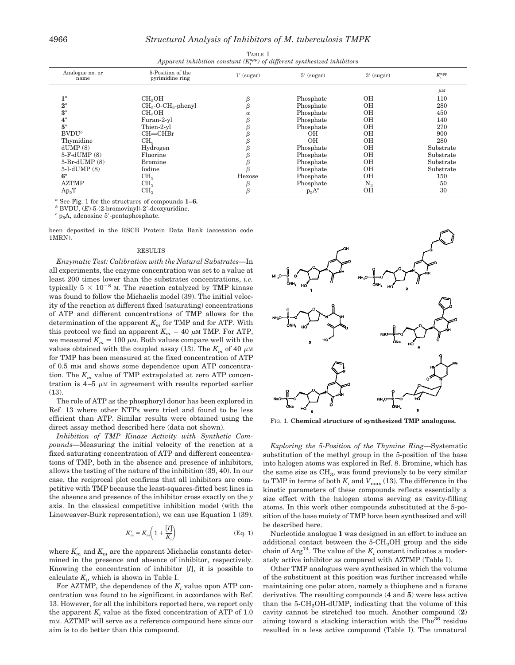| Apparent inhibition constant $(K_i^{app})$ of different synthesized inhibitors |                                      |          |                              |             |                 |  |
|--------------------------------------------------------------------------------|--------------------------------------|----------|------------------------------|-------------|-----------------|--|
| Analogue no. or<br>name                                                        | 5-Position of the<br>pyrimidine ring |          | $1'$ (sugar)<br>$5'$ (sugar) |             | $K_i^{\rm app}$ |  |
|                                                                                |                                      |          |                              |             | $\mu$ M         |  |
| $\mathbf{1}^a$                                                                 | CH <sub>2</sub> OH                   |          | Phosphate                    | OН          | 110             |  |
| $2^a$                                                                          | $CH2-O-CH2-phenyl$                   |          | Phosphate                    | ΟH          | 280             |  |
| $3^a$                                                                          | CH <sub>2</sub> OH                   | $\alpha$ | Phosphate                    | ΟH          | 450             |  |
| $4^a$                                                                          | Furan-2-yl                           |          | Phosphate                    | OН          | 140             |  |
| $5^a$                                                                          | Thien-2-yl                           |          | Phosphate                    | ΟH          | 270             |  |
| $BVDU^b$                                                                       | $CH = CHBr$                          |          | OН                           | ΟH          | 900             |  |
| Thymidine                                                                      | CH <sub>3</sub>                      |          | <b>OH</b>                    | ΟH          | 280             |  |
| dUMP(8)                                                                        | Hydrogen                             |          | Phosphate                    | ΟH          | Substrate       |  |
| $5-F-dUMP(8)$                                                                  | Fluorine                             |          | Phosphate                    | ΟH          | Substrate       |  |
| $5-Br-dUMP(8)$                                                                 | <b>Bromine</b>                       |          | Phosphate                    | OН          | Substrate       |  |
| $5-I-dUMP(8)$                                                                  | Iodine                               |          | Phosphate                    | ΟH          | Substrate       |  |
| $6^a$                                                                          | CH <sub>3</sub>                      | Hexose   | Phosphate                    | OН          | 150             |  |
| <b>AZTMP</b>                                                                   | CH <sub>3</sub>                      |          | Phosphate                    | $\rm N_{3}$ | 50              |  |
| $Ap_5T$                                                                        | CH <sub>3</sub>                      |          | $p_5A^c$                     | OН          | 30              |  |

TABLE I *app) of different synthesized inhibitors*

*<sup>a</sup>* See Fig. 1 for the structures of compounds **1–6.** *<sup>b</sup>* BVDU, (*E*)-5-(2-bromovinyl)-2-deoxyuridine. *<sup>c</sup>* p5A, adenosine 5-pentaphosphate.

been deposited in the RSCB Protein Data Bank (accession code 1MRN).

# RESULTS

*Enzymatic Test: Calibration with the Natural Substrates—*In all experiments, the enzyme concentration was set to a value at least 200 times lower than the substrates concentrations, *i.e.* typically  $5 \times 10^{-8}$  M. The reaction catalyzed by TMP kinase was found to follow the Michaelis model (39). The initial velocity of the reaction at different fixed (saturating) concentrations of ATP and different concentrations of TMP allows for the determination of the apparent  $K_m$  for TMP and for ATP. With this protocol we find an apparent  $K_m = 40 \mu M$  TMP. For ATP, we measured  $K_m = 100 \mu M$ . Both values compare well with the values obtained with the coupled assay (13). The  $K<sub>m</sub>$  of 40  $\mu$ M for TMP has been measured at the fixed concentration of ATP of 0.5 mM and shows some dependence upon ATP concentration. The  $K_m$  value of TMP extrapolated at zero ATP concentration is  $4-5 \mu M$  in agreement with results reported earlier (13).

The role of ATP as the phosphoryl donor has been explored in Ref. 13 where other NTPs were tried and found to be less efficient than ATP. Similar results were obtained using the direct assay method described here (data not shown).

*Inhibition of TMP Kinase Activity with Synthetic Compounds—*Measuring the initial velocity of the reaction at a fixed saturating concentration of ATP and different concentrations of TMP, both in the absence and presence of inhibitors, allows the testing of the nature of the inhibition (39, 40). In our case, the reciprocal plot confirms that all inhibitors are competitive with TMP because the least-squares-fitted best lines in the absence and presence of the inhibitor cross exactly on the *y* axis. In the classical competitive inhibition model (with the Lineweaver-Burk representation), we can use Equation 1 (39).

$$
K'_m = K_m \bigg( 1 + \frac{[I]}{K_i} \bigg) \tag{Eq. 1}
$$

where  $K_m$  and  $K_m$  are the apparent Michaelis constants determined in the presence and absence of inhibitor, respectively. Knowing the concentration of inhibitor [*I*], it is possible to  $\text{calculate } K_i$ , which is shown in Table I.

For AZTMP, the dependence of the  $K_i$  value upon ATP concentration was found to be significant in accordance with Ref. 13. However, for all the inhibitors reported here, we report only the apparent  $K_i$  value at the fixed concentration of ATP of  $1.0$ mM. AZTMP will serve as a reference compound here since our aim is to do better than this compound.



FIG. 1. **Chemical structure of synthesized TMP analogues.**

*Exploring the 5-Position of the Thymine Ring—*Systematic substitution of the methyl group in the 5-position of the base into halogen atoms was explored in Ref. 8. Bromine, which has the same size as  $CH<sub>3</sub>$ , was found previously to be very similar to TMP in terms of both  $K_i$  and  $V_{\text{max}}$  (13). The difference in the kinetic parameters of these compounds reflects essentially a size effect with the halogen atoms serving as cavity-filling atoms. In this work other compounds substituted at the 5-position of the base moiety of TMP have been synthesized and will be described here.

Nucleotide analogue **1** was designed in an effort to induce an additional contact between the  $5\text{-CH}_2$ OH group and the side chain of  $Arg<sup>74</sup>$ . The value of the  $K<sub>i</sub>$  constant indicates a moderately active inhibitor as compared with AZTMP (Table I).

Other TMP analogues were synthesized in which the volume of the substituent at this position was further increased while maintaining one polar atom, namely a thiophene and a furane derivative. The resulting compounds (**4** and **5**) were less active than the 5-CH<sub>2</sub>OH-dUMP, indicating that the volume of this cavity cannot be stretched too much. Another compound (**2**) aiming toward a stacking interaction with the  $Phe^{36}$  residue resulted in a less active compound (Table I). The unnatural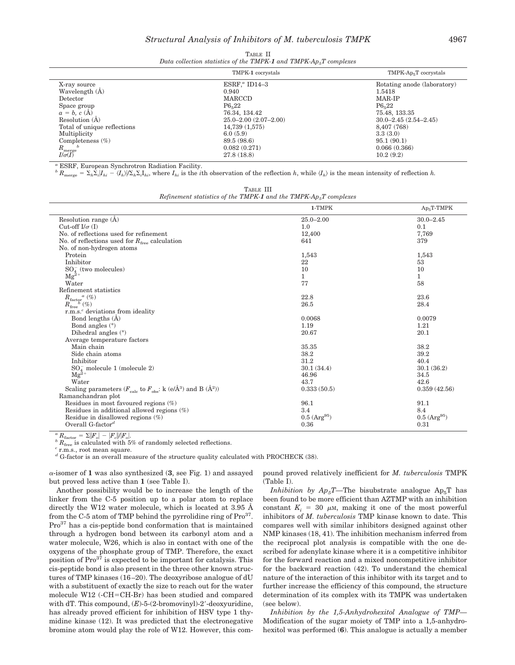| TABLE II |  |  |  |  |  |                                                                             |
|----------|--|--|--|--|--|-----------------------------------------------------------------------------|
|          |  |  |  |  |  | Data collection statistics of the TMPK-1 and TMPK- $Ap_{\alpha}T$ complexes |

|                                        | TMPK-1 cocrystals          | TMPK-Ap <sub>5</sub> T cocrystals |
|----------------------------------------|----------------------------|-----------------------------------|
| X-ray source                           | $ESRFa$ ID14-3             | Rotating anode (laboratory)       |
| Wavelength (Å)                         | 0.940                      | 1.5418                            |
| Detector                               | <b>MARCCD</b>              | MAR-IP                            |
| Space group                            | P6.22                      | P6.22                             |
| $a = b, c (\AA)$                       | 76.34, 134.42              | 75.48, 133.35                     |
| Resolution $(A)$                       | $25.0 - 2.00(2.07 - 2.00)$ | $30.0 - 2.45(2.54 - 2.45)$        |
| Total of unique reflections            | 14,739 (1,575)             | 8,407 (768)                       |
| Multiplicity                           | 6.0(5.9)                   | 3.3(3.0)                          |
| Completeness $(\%)$                    | 89.5 (98.6)                | 95.1(90.1)                        |
|                                        | 0.082(0.271)               | 0.066(0.366)                      |
| $\frac{R_{\text{merge}}}{I/\sigma(I)}$ | 27.8(18.8)                 | 10.2(9.2)                         |

*<sup>a</sup>* ESRF, European Synchrotron Radiation Facility.

 ${}^{b}R_{\text{merge}} = \sum_{h} \hat{\Sigma}_{i} |I_{hi} - \langle I_{h} \rangle | \Sigma_{h} \Sigma_{i} I_{hi}$ , where  $I_{hi}$  is the *i*th observation of the reflection h, while  $\langle I_{h} \rangle$  is the mean intensity of reflection h.

|                                                                            | TABLE III |  |  |
|----------------------------------------------------------------------------|-----------|--|--|
| Refinement statistics of the TMPK-1 and the TMPK- $Ap_{\alpha}T$ complexes |           |  |  |

|                                                                                                             | 1-TMPK            | $Ap5T-TMPK$                |
|-------------------------------------------------------------------------------------------------------------|-------------------|----------------------------|
| Resolution range (Å)                                                                                        | $25.0 - 2.00$     | $30.0 - 2.45$              |
| Cut-off $I/\sigma$ (I)                                                                                      | 1.0               | 0.1                        |
| No. of reflections used for refinement                                                                      | 12,400            | 7,769                      |
| No. of reflections used for $R_{\text{free}}$ calculation                                                   | 641               | 379                        |
| No. of non-hydrogen atoms                                                                                   |                   |                            |
| Protein                                                                                                     | 1,543             | 1,543                      |
| Inhibitor                                                                                                   | 22                | 53                         |
| $SO4-$ (two molecules)                                                                                      | 10                | 10                         |
| $Mg^{2+}$                                                                                                   | $\mathbf{1}$      | $\mathbf{1}$               |
| Water                                                                                                       | 77                | 58                         |
| Refinement statistics                                                                                       |                   |                            |
| $R_{\text{factor}}^{\quad \alpha}$ (%)                                                                      | 22.8              | 23.6                       |
| $R_{\mathrm{free}}^{\quad b}$ (%)                                                                           | 26.5              | 28.4                       |
| r.m.s. <sup>c</sup> deviations from ideality                                                                |                   |                            |
| Bond lengths $(A)$                                                                                          | 0.0068            | 0.0079                     |
| Bond angles $(°)$                                                                                           | 1.19              | 1.21                       |
| Dihedral angles $(°)$                                                                                       | 20.67             | 20.1                       |
| Average temperature factors                                                                                 |                   |                            |
| Main chain                                                                                                  | 35.35             | 38.2                       |
| Side chain atoms                                                                                            | 38.2              | 39.2                       |
| Inhibitor                                                                                                   | 31.2              | 40.4                       |
| $SO4$ molecule 1 (molecule 2)                                                                               | 30.1(34.4)        | 30.1(36.2)                 |
| $\text{Mg}^{\tilde{2}+}$                                                                                    | 46.96             | 34.5                       |
| Water                                                                                                       | 43.7              | 42.6                       |
| Scaling parameters ( $F_{\text{calc}}$ to $F_{\text{obs}}$ : k (e/Å <sup>3</sup> ) and B (Å <sup>2</sup> )) | 0.333(50.5)       | 0.359(42.56)               |
| Ramanchandran plot                                                                                          |                   |                            |
| Residues in most favoured regions $(\%)$                                                                    | 96.1              | 91.1                       |
| Residues in additional allowed regions $(\%)$                                                               | 3.4               | 8.4                        |
| Residue in disallowed regions $(\%)$                                                                        | $0.5\ (Arg^{95})$ | $0.5 \, (\text{Arg}^{95})$ |
| Overall G-factor <sup>d</sup>                                                                               | 0.36              | 0.31                       |

 $\frac{a}{b}$   $R_{\text{free}}$  is calculated with 5% of randomly selected reflections.  $c$  r.m.s., root mean square.

*<sup>d</sup>* G-factor is an overall measure of the structure quality calculated with PROCHECK (38).

 $\alpha$ -isomer of 1 was also synthesized  $(3, \text{see Fig. 1})$  and assayed but proved less active than **1** (see Table I).

Another possibility would be to increase the length of the linker from the C-5 position up to a polar atom to replace directly the W12 water molecule, which is located at 3.95 Å from the C-5 atom of TMP behind the pyrrolidine ring of  $Pro<sup>37</sup>$ . Pro<sup>37</sup> has a cis-peptide bond conformation that is maintained through a hydrogen bond between its carbonyl atom and a water molecule, W26, which is also in contact with one of the oxygens of the phosphate group of TMP. Therefore, the exact position of  $Pro<sup>37</sup>$  is expected to be important for catalysis. This cis-peptide bond is also present in the three other known structures of TMP kinases (16–20). The deoxyribose analogue of dU with a substituent of exactly the size to reach out for the water molecule W12  $(-CH=CH-Br)$  has been studied and compared with dT. This compound,  $(E)$ -5-(2-bromovinyl)-2'-deoxyuridine, has already proved efficient for inhibition of HSV type 1 thymidine kinase (12). It was predicted that the electronegative bromine atom would play the role of W12. However, this compound proved relatively inefficient for *M. tuberculosis* TMPK (Table I).

*Inhibition by*  $Ap_5T$ *—The bisubstrate analogue*  $Ap_5T$  *has* been found to be more efficient than AZTMP with an inhibition constant  $K_i = 30 \mu M$ , making it one of the most powerful inhibitors of *M. tuberculosis* TMP kinase known to date. This compares well with similar inhibitors designed against other NMP kinases (18, 41). The inhibition mechanism inferred from the reciprocal plot analysis is compatible with the one described for adenylate kinase where it is a competitive inhibitor for the forward reaction and a mixed noncompetitive inhibitor for the backward reaction (42). To understand the chemical nature of the interaction of this inhibitor with its target and to further increase the efficiency of this compound, the structure determination of its complex with its TMPK was undertaken (see below).

*Inhibition by the 1,5-Anhydrohexitol Analogue of TMP—* Modification of the sugar moiety of TMP into a 1,5-anhydrohexitol was performed (**6**). This analogue is actually a member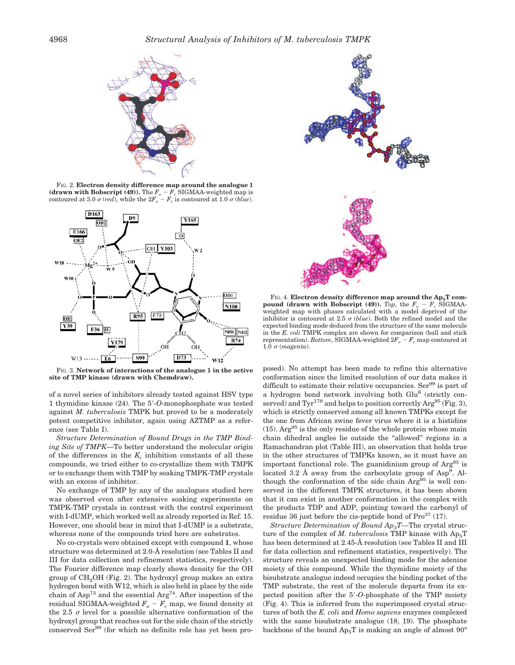

FIG. 2. **Electron density difference map around the analogue 1 (drawn with Bobscript (49)).** The  $F_o - F_c$  SIGMAA-weighted map is contoured at 3.0  $\sigma$  (*red*), while the  $2F_o - F_c$  is contoured at 1.0  $\sigma$  (*blue*).



FIG. 3. **Network of interactions of the analogue 1 in the active site of TMP kinase (drawn with Chemdraw).**

of a novel series of inhibitors already tested against HSV type 1 thymidine kinase (24). The 5-*O*-monophosphate was tested against *M. tuberculosis* TMPK but proved to be a moderately potent competitive inhibitor, again using AZTMP as a reference (see Table I).

*Structure Determination of Bound Drugs in the TMP Binding Site of TMPK—*To better understand the molecular origin of the differences in the  $K_i$  inhibition constants of all these compounds, we tried either to co-crystallize them with TMPK or to exchange them with TMP by soaking TMPK-TMP crystals with an excess of inhibitor.

No exchange of TMP by any of the analogues studied here was observed even after extensive soaking experiments on TMPK-TMP crystals in contrast with the control experiment with I-dUMP, which worked well as already reported in Ref. 15. However, one should bear in mind that I-dUMP is a substrate, whereas none of the compounds tried here are substrates.

No co-crystals were obtained except with compound **1**, whose structure was determined at 2.0-Å resolution (see Tables II and III for data collection and refinement statistics, respectively). The Fourier difference map clearly shows density for the OH group of  $CH<sub>2</sub>OH$  (Fig. 2). The hydroxyl group makes an extra hydrogen bond with W12, which is also held in place by the side chain of Asp<sup>73</sup> and the essential Arg<sup>74</sup>. After inspection of the residual SIGMAA-weighted  $F_o - F_c$  map, we found density at the 2.5  $\sigma$  level for a possible alternative conformation of the hydroxyl group that reaches out for the side chain of the strictly conserved Ser<sup>99</sup> (for which no definite role has yet been pro-



FIG. 4. Electron density difference map around the Ap<sub>5</sub>T com**pound (drawn with Bobscript (49)).** *Top*, the  $F<sub>o</sub> - F<sub>c</sub>$  SIGMAAweighted map with phases calculated with a model deprived of the inhibitor is contoured at 2.5  $\sigma$  (*blue*). Both the refined model and the expected binding mode deduced from the structure of the same molecule in the *E. coli* TMPK complex are shown for comparison (ball and stick representation). *Bottom*, SIGMAA-weighted  $2F_o - F_c$  map contoured at 1.0  $\sigma$  (*magenta*).

posed). No attempt has been made to refine this alternative conformation since the limited resolution of our data makes it difficult to estimate their relative occupancies. Ser $99$  is part of a hydrogen bond network involving both Glu<sup>6</sup> (strictly conserved) and  $Tyr^{179}$  and helps to position correctly  $Arg^{95}$  (Fig. 3), which is strictly conserved among all known TMPKs except for the one from African swine fever virus where it is a histidine  $(15)$ . Arg<sup>95</sup> is the only residue of the whole protein whose main chain dihedral angles lie outside the ''allowed'' regions in a Ramachandran plot (Table III), an observation that holds true in the other structures of TMPKs known, so it must have an important functional role. The guanidinium group of  $Arg<sup>95</sup>$  is located 3.2 Å away from the carboxylate group of Asp<sup>9</sup>. Although the conformation of the side chain Arg<sup>95</sup> is well conserved in the different TMPK structures, it has been shown that it can exist in another conformation in the complex with the products TDP and ADP, pointing toward the carbonyl of residue 36 just before the cis-peptide bond of  $Pro<sup>37</sup>$  (17).

*Structure Determination of Bound Ap<sub>5</sub>T*—The crystal structure of the complex of *M. tuberculosis* TMP kinase with  $Ap<sub>5</sub>T$ has been determined at 2.45-Å resolution (see Tables II and III for data collection and refinement statistics, respectively). The structure reveals an unexpected binding mode for the adenine moiety of this compound. While the thymidine moiety of the bisubstrate analogue indeed occupies the binding pocket of the TMP substrate, the rest of the molecule departs from its expected position after the 5-*O*-phosphate of the TMP moiety (Fig. 4). This is inferred from the superimposed crystal structures of both the *E. coli* and *Homo sapiens* enzymes complexed with the same bisubstrate analogue (18, 19). The phosphate backbone of the bound  $Ap_5T$  is making an angle of almost  $90^\circ$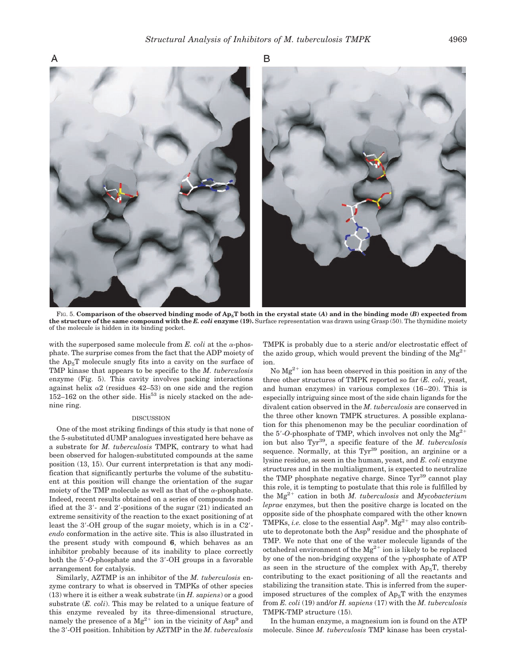Β



FIG. 5. **Comparison of the observed binding mode of Ap5T both in the crystal state (***A***) and in the binding mode (***B***) expected from the structure of the same compound with the** *E. coli* **enzyme (19).** Surface representation was drawn using Grasp (50). The thymidine moiety of the molecule is hidden in its binding pocket.

with the superposed same molecule from  $E$ . *coli* at the  $\alpha$ -phosphate. The surprise comes from the fact that the ADP moiety of the  $Ap<sub>5</sub>T$  molecule snugly fits into a cavity on the surface of TMP kinase that appears to be specific to the *M. tuberculosis* enzyme (Fig. 5). This cavity involves packing interactions against helix  $\alpha$ 2 (residues 42–53) on one side and the region  $152-162$  on the other side. His<sup>53</sup> is nicely stacked on the adenine ring.

### DISCUSSION

One of the most striking findings of this study is that none of the 5-substituted dUMP analogues investigated here behave as a substrate for *M. tuberculosis* TMPK, contrary to what had been observed for halogen-substituted compounds at the same position (13, 15). Our current interpretation is that any modification that significantly perturbs the volume of the substituent at this position will change the orientation of the sugar moiety of the TMP molecule as well as that of the  $\alpha$ -phosphate. Indeed, recent results obtained on a series of compounds modified at the  $3'$ - and  $2'$ -positions of the sugar  $(21)$  indicated an extreme sensitivity of the reaction to the exact positioning of at least the 3'-OH group of the sugar moiety, which is in a C2'*endo* conformation in the active site. This is also illustrated in the present study with compound **6**, which behaves as an inhibitor probably because of its inability to place correctly both the 5-*O*-phosphate and the 3-OH groups in a favorable arrangement for catalysis.

Similarly, AZTMP is an inhibitor of the *M. tuberculosis* enzyme contrary to what is observed in TMPKs of other species (13) where it is either a weak substrate (in *H. sapiens*) or a good substrate (*E. coli*). This may be related to a unique feature of this enzyme revealed by its three-dimensional structure, namely the presence of a  $Mg^{2+}$  ion in the vicinity of  $Asp^9$  and the 3-OH position. Inhibition by AZTMP in the *M. tuberculosis*

TMPK is probably due to a steric and/or electrostatic effect of the azido group, which would prevent the binding of the  $Mg^{2+}$ ion.

No  $Mg^{2+}$  ion has been observed in this position in any of the three other structures of TMPK reported so far (*E. coli*, yeast, and human enzymes) in various complexes (16–20). This is especially intriguing since most of the side chain ligands for the divalent cation observed in the *M. tuberculosis* are conserved in the three other known TMPK structures. A possible explanation for this phenomenon may be the peculiar coordination of the  $5'$ -O-phosphate of TMP, which involves not only the  $Mg^{2+}$ ion but also Tyr39, a specific feature of the *M. tuberculosis* sequence. Normally, at this  $\text{Tyr}^{39}$  position, an arginine or a lysine residue, as seen in the human, yeast, and *E. coli* enzyme structures and in the multialignment, is expected to neutralize the TMP phosphate negative charge. Since Tyr<sup>39</sup> cannot play this role, it is tempting to postulate that this role is fulfilled by the Mg2- cation in both *M. tuberculosis* and *Mycobacterium leprae* enzymes, but then the positive charge is located on the opposite side of the phosphate compared with the other known TMPKs, *i.e.* close to the essential  $\rm{Asp}^9$ .  $\rm{Mg}^{2+}$  may also contribute to deprotonate both the Asp<sup>9</sup> residue and the phosphate of TMP. We note that one of the water molecule ligands of the octahedral environment of the  $Mg^{2+}$  ion is likely to be replaced by one of the non-bridging oxygens of the  $\gamma$ -phosphate of ATP as seen in the structure of the complex with  $Ap_5T$ , thereby contributing to the exact positioning of all the reactants and stabilizing the transition state. This is inferred from the superimposed structures of the complex of  $Ap<sub>5</sub>T$  with the enzymes from *E. coli* (19) and/or *H. sapiens* (17) with the *M. tuberculosis* TMPK-TMP structure (15).

In the human enzyme, a magnesium ion is found on the ATP molecule. Since *M. tuberculosis* TMP kinase has been crystal-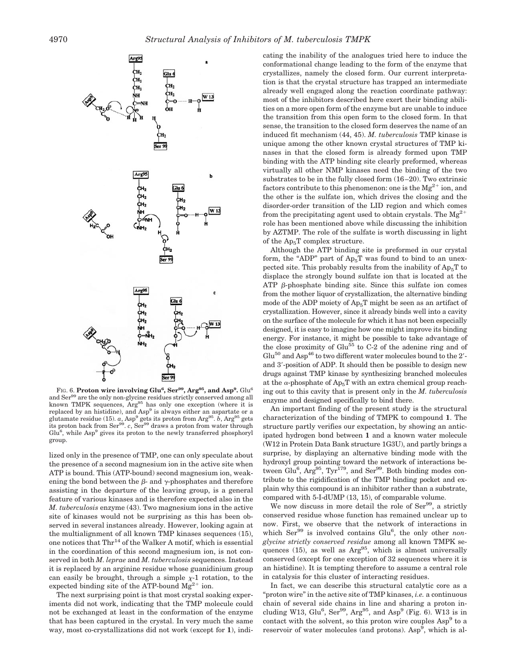

FIG. 6. **Proton wire involving Glu** $^6$ **, Ser** $^{99}$ **, Arg** $^{95}$ **, and Asp** $^9$ **.** Glu $^6$ and Ser<sup>99</sup> are the only non-glycine residues strictly conserved among all known TMPK sequences,  $Arg^{95}$  has only one exception (where it is replaced by an histidine), and  $Asp<sup>9</sup>$  is always either an aspartate or a glutamate residue (15).  $a$ , Asp<sup>9</sup> gets its proton from Arg<sup>95</sup>.  $b$ , Arg<sup>95</sup> gets its proton back from Ser<sup>99</sup>. *c*, Ser<sup>99</sup> draws a proton from water through  $Glu<sup>6</sup>$ , while Asp<sup>9</sup> gives its proton to the newly transferred phosphoryl group.

lized only in the presence of TMP, one can only speculate about the presence of a second magnesium ion in the active site when ATP is bound. This (ATP-bound) second magnesium ion, weakening the bond between the  $\beta$ - and  $\gamma$ -phosphates and therefore assisting in the departure of the leaving group, is a general feature of various kinases and is therefore expected also in the *M. tuberculosis* enzyme (43). Two magnesium ions in the active site of kinases would not be surprising as this has been observed in several instances already. However, looking again at the multialignment of all known TMP kinases sequences (15), one notices that  $\text{Thr}^{14}$  of the Walker A motif, which is essential in the coordination of this second magnesium ion, is not conserved in both *M. leprae* and *M. tuberculosis* sequences. Instead it is replaced by an arginine residue whose guanidinium group can easily be brought, through a simple  $\chi$ -1 rotation, to the expected binding site of the ATP-bound  $Mg^{2+}$  ion.

The next surprising point is that most crystal soaking experiments did not work, indicating that the TMP molecule could not be exchanged at least in the conformation of the enzyme that has been captured in the crystal. In very much the same way, most co-crystallizations did not work (except for **1**), indicating the inability of the analogues tried here to induce the conformational change leading to the form of the enzyme that crystallizes, namely the closed form. Our current interpretation is that the crystal structure has trapped an intermediate already well engaged along the reaction coordinate pathway: most of the inhibitors described here exert their binding abilities on a more open form of the enzyme but are unable to induce the transition from this open form to the closed form. In that sense, the transition to the closed form deserves the name of an induced fit mechanism (44, 45). *M. tuberculosis* TMP kinase is unique among the other known crystal structures of TMP kinases in that the closed form is already formed upon TMP binding with the ATP binding site clearly preformed, whereas virtually all other NMP kinases need the binding of the two substrates to be in the fully closed form (16–20). Two extrinsic factors contribute to this phenomenon: one is the  $Mg^{2+}$  ion, and the other is the sulfate ion, which drives the closing and the disorder-order transition of the LID region and which comes from the precipitating agent used to obtain crystals. The  $Mg^{2+}$ role has been mentioned above while discussing the inhibition by AZTMP. The role of the sulfate is worth discussing in light of the  $Ap<sub>5</sub>T$  complex structure.

Although the ATP binding site is preformed in our crystal form, the "ADP" part of  $Ap_5T$  was found to bind to an unexpected site. This probably results from the inability of  $Ap<sub>5</sub>T$  to displace the strongly bound sulfate ion that is located at the ATP  $\beta$ -phosphate binding site. Since this sulfate ion comes from the mother liquor of crystallization, the alternative binding mode of the ADP moiety of  $Ap_5T$  might be seen as an artifact of crystallization. However, since it already binds well into a cavity on the surface of the molecule for which it has not been especially designed, it is easy to imagine how one might improve its binding energy. For instance, it might be possible to take advantage of the close proximity of  $Glu<sup>55</sup>$  to C-2 of the adenine ring and of  $Glu<sup>50</sup>$  and Asp<sup>46</sup> to two different water molecules bound to the  $2'$ and 3-position of ADP. It should then be possible to design new drugs against TMP kinase by synthesizing branched molecules at the  $\alpha$ -phosphate of Ap<sub>5</sub>T with an extra chemical group reaching out to this cavity that is present only in the *M. tuberculosis* enzyme and designed specifically to bind there.

An important finding of the present study is the structural characterization of the binding of TMPK to compound **1**. The structure partly verifies our expectation, by showing an anticipated hydrogen bond between **1** and a known water molecule (W12 in Protein Data Bank structure 1G3U), and partly brings a surprise, by displaying an alternative binding mode with the hydroxyl group pointing toward the network of interactions between Glu<sup>6</sup>, Arg<sup>95</sup>, Tyr<sup>179</sup>, and Ser<sup>99</sup>. Both binding modes contribute to the rigidification of the TMP binding pocket and explain why this compound is an inhibitor rather than a substrate, compared with 5-I-dUMP (13, 15), of comparable volume.

We now discuss in more detail the role of Ser<sup>99</sup>, a strictly conserved residue whose function has remained unclear up to now. First, we observe that the network of interactions in which Ser<sup>99</sup> is involved contains Glu<sup>6</sup>, the only other *nonglycine strictly conserved residue* among all known TMPK sequences (15), as well as  $Arg^{95}$ , which is almost universally conserved (except for one exception of 32 sequences where it is an histidine). It is tempting therefore to assume a central role in catalysis for this cluster of interacting residues.

In fact, we can describe this structural catalytic core as a "proton wire" in the active site of TMP kinases, *i.e.* a continuous chain of several side chains in line and sharing a proton including W13,  $Glu^6$ ,  $Ser^{99}$ ,  $Arg^{95}$ , and  $Asp^9$  (Fig. 6). W13 is in contact with the solvent, so this proton wire couples  $\text{Asp}^9$  to a reservoir of water molecules (and protons). Asp<sup>9</sup>, which is al-